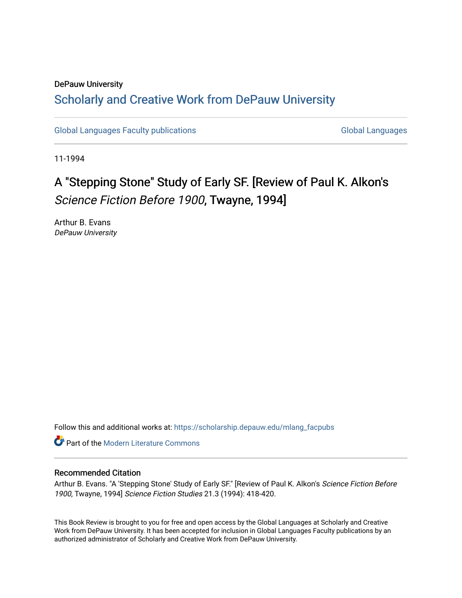## DePauw University Scholarly and [Creative Work from DePauw Univ](https://scholarship.depauw.edu/)ersity

[Global Languages Faculty publications](https://scholarship.depauw.edu/mlang_facpubs) [Global Languages](https://scholarship.depauw.edu/modernlanguages) Global Languages

11-1994

## A "Stepping Stone" Study of Early SF. [Review of Paul K. Alkon's Science Fiction Before 1900, Twayne, 1994]

Arthur B. Evans DePauw University

Follow this and additional works at: [https://scholarship.depauw.edu/mlang\\_facpubs](https://scholarship.depauw.edu/mlang_facpubs?utm_source=scholarship.depauw.edu%2Fmlang_facpubs%2F47&utm_medium=PDF&utm_campaign=PDFCoverPages)

**Part of the Modern Literature Commons** 

## Recommended Citation

Arthur B. Evans. "A 'Stepping Stone' Study of Early SF." [Review of Paul K. Alkon's Science Fiction Before 1900, Twayne, 1994] Science Fiction Studies 21.3 (1994): 418-420.

This Book Review is brought to you for free and open access by the Global Languages at Scholarly and Creative Work from DePauw University. It has been accepted for inclusion in Global Languages Faculty publications by an authorized administrator of Scholarly and Creative Work from DePauw University.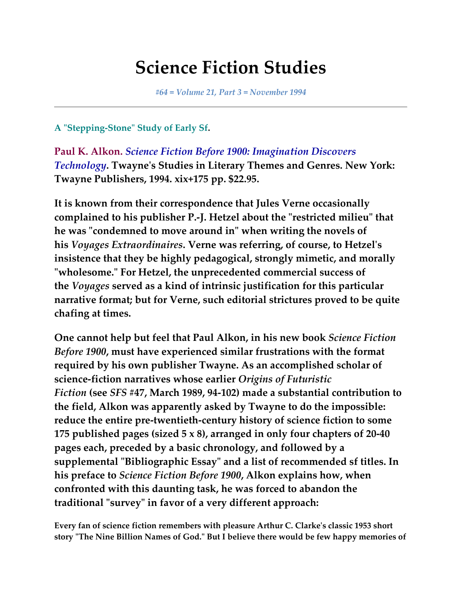## **Science Fiction Studies**

*#64 = Volume 21, Part 3 = November 1994*

**A "Stepping-Stone" Study of Early Sf.**

**Paul K. Alkon.** *Science Fiction Before 1900: Imagination Discovers Technology***. Twayne's Studies in Literary Themes and Genres. New York: Twayne Publishers, 1994. xix+175 pp. \$22.95.**

**It is known from their correspondence that Jules Verne occasionally complained to his publisher P.-J. Hetzel about the "restricted milieu" that he was "condemned to move around in" when writing the novels of his** *Voyages Extraordinaires***. Verne was referring, of course, to Hetzel's insistence that they be highly pedagogical, strongly mimetic, and morally "wholesome." For Hetzel, the unprecedented commercial success of the** *Voyages* **served as a kind of intrinsic justification for this particular narrative format; but for Verne, such editorial strictures proved to be quite chafing at times.**

**One cannot help but feel that Paul Alkon, in his new book** *Science Fiction Before 1900***, must have experienced similar frustrations with the format required by his own publisher Twayne. As an accomplished scholar of science-fiction narratives whose earlier** *Origins of Futuristic Fiction* **(see** *SFS* **#47, March 1989, 94-102) made a substantial contribution to the field, Alkon was apparently asked by Twayne to do the impossible: reduce the entire pre-twentieth-century history of science fiction to some 175 published pages (sized 5 x 8), arranged in only four chapters of 20-40 pages each, preceded by a basic chronology, and followed by a supplemental "Bibliographic Essay" and a list of recommended sf titles. In his preface to** *Science Fiction Before 1900***, Alkon explains how, when confronted with this daunting task, he was forced to abandon the traditional "survey" in favor of a very different approach:**

**Every fan of science fiction remembers with pleasure Arthur C. Clarke's classic 1953 short story "The Nine Billion Names of God." But I believe there would be few happy memories of**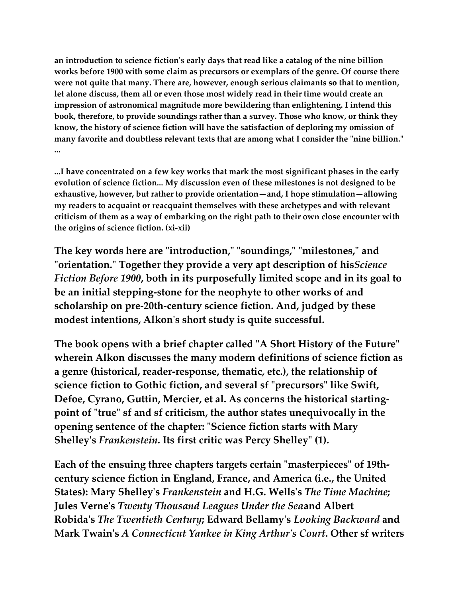**an introduction to science fiction's early days that read like a catalog of the nine billion works before 1900 with some claim as precursors or exemplars of the genre. Of course there were not quite that many. There are, however, enough serious claimants so that to mention, let alone discuss, them all or even those most widely read in their time would create an impression of astronomical magnitude more bewildering than enlightening. I intend this book, therefore, to provide soundings rather than a survey. Those who know, or think they know, the history of science fiction will have the satisfaction of deploring my omission of many favorite and doubtless relevant texts that are among what I consider the "nine billion." ...**

**...I have concentrated on a few key works that mark the most significant phases in the early evolution of science fiction... My discussion even of these milestones is not designed to be exhaustive, however, but rather to provide orientation—and, I hope stimulation—allowing my readers to acquaint or reacquaint themselves with these archetypes and with relevant criticism of them as a way of embarking on the right path to their own close encounter with the origins of science fiction. (xi-xii)**

**The key words here are "introduction," "soundings," "milestones," and "orientation." Together they provide a very apt description of his***Science Fiction Before 1900***, both in its purposefully limited scope and in its goal to be an initial stepping-stone for the neophyte to other works of and scholarship on pre-20th-century science fiction. And, judged by these modest intentions, Alkon's short study is quite successful.**

**The book opens with a brief chapter called "A Short History of the Future" wherein Alkon discusses the many modern definitions of science fiction as a genre (historical, reader-response, thematic, etc.), the relationship of science fiction to Gothic fiction, and several sf "precursors" like Swift, Defoe, Cyrano, Guttin, Mercier, et al. As concerns the historical startingpoint of "true" sf and sf criticism, the author states unequivocally in the opening sentence of the chapter: "Science fiction starts with Mary Shelley's** *Frankenstein***. Its first critic was Percy Shelley" (1).**

**Each of the ensuing three chapters targets certain "masterpieces" of 19thcentury science fiction in England, France, and America (i.e., the United States): Mary Shelley's** *Frankenstein* **and H.G. Wells's** *The Time Machine***; Jules Verne's** *Twenty Thousand Leagues Under the Sea***and Albert Robida's** *The Twentieth Century***; Edward Bellamy's** *Looking Backward* **and Mark Twain's** *A Connecticut Yankee in King Arthur's Court***. Other sf writers**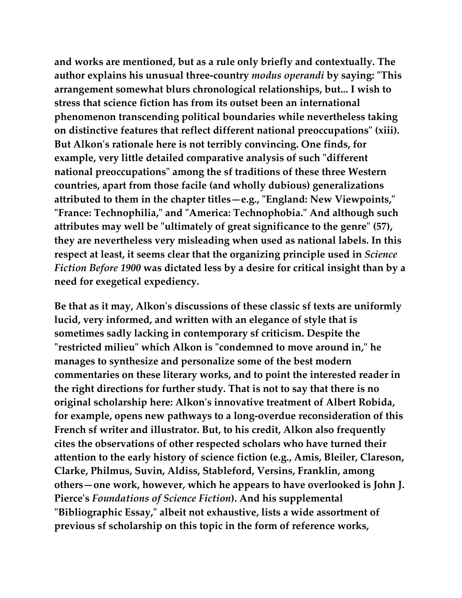**and works are mentioned, but as a rule only briefly and contextually. The author explains his unusual three-country** *modus operandi* **by saying: "This arrangement somewhat blurs chronological relationships, but... I wish to stress that science fiction has from its outset been an international phenomenon transcending political boundaries while nevertheless taking on distinctive features that reflect different national preoccupations" (xiii). But Alkon's rationale here is not terribly convincing. One finds, for example, very little detailed comparative analysis of such "different national preoccupations" among the sf traditions of these three Western countries, apart from those facile (and wholly dubious) generalizations attributed to them in the chapter titles—e.g., "England: New Viewpoints," "France: Technophilia," and "America: Technophobia." And although such attributes may well be "ultimately of great significance to the genre" (57), they are nevertheless very misleading when used as national labels. In this respect at least, it seems clear that the organizing principle used in** *Science Fiction Before 1900* **was dictated less by a desire for critical insight than by a need for exegetical expediency.**

**Be that as it may, Alkon's discussions of these classic sf texts are uniformly lucid, very informed, and written with an elegance of style that is sometimes sadly lacking in contemporary sf criticism. Despite the "restricted milieu" which Alkon is "condemned to move around in," he manages to synthesize and personalize some of the best modern commentaries on these literary works, and to point the interested reader in the right directions for further study. That is not to say that there is no original scholarship here: Alkon's innovative treatment of Albert Robida, for example, opens new pathways to a long-overdue reconsideration of this French sf writer and illustrator. But, to his credit, Alkon also frequently cites the observations of other respected scholars who have turned their attention to the early history of science fiction (e.g., Amis, Bleiler, Clareson, Clarke, Philmus, Suvin, Aldiss, Stableford, Versins, Franklin, among others—one work, however, which he appears to have overlooked is John J. Pierce's** *Foundations of Science Fiction***). And his supplemental "Bibliographic Essay," albeit not exhaustive, lists a wide assortment of previous sf scholarship on this topic in the form of reference works,**